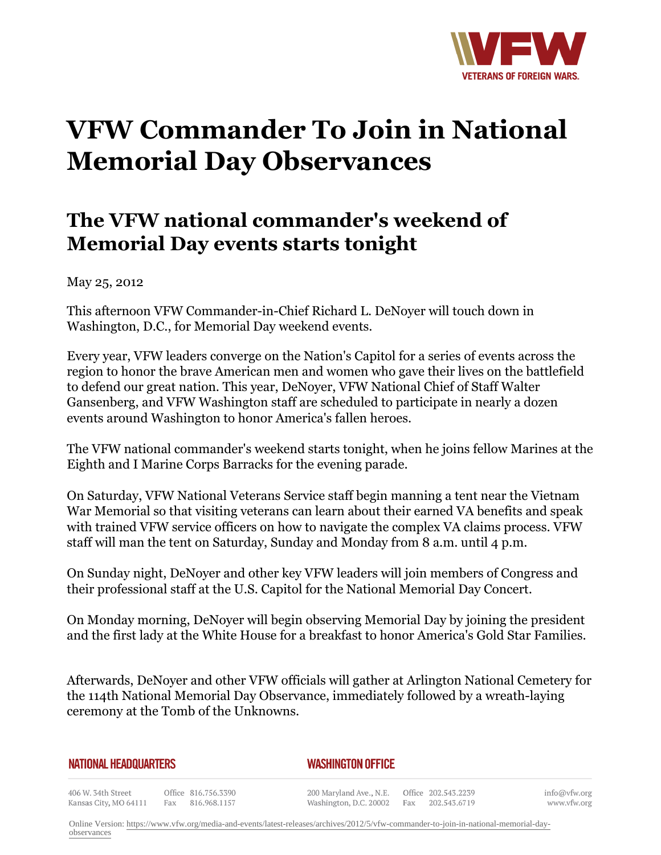

## **VFW Commander To Join in National Memorial Day Observances**

## **The VFW national commander's weekend of Memorial Day events starts tonight**

May 25, 2012

This afternoon VFW Commander-in-Chief Richard L. DeNoyer will touch down in Washington, D.C., for Memorial Day weekend events.

Every year, VFW leaders converge on the Nation's Capitol for a series of events across the region to honor the brave American men and women who gave their lives on the battlefield to defend our great nation. This year, DeNoyer, VFW National Chief of Staff Walter Gansenberg, and VFW Washington staff are scheduled to participate in nearly a dozen events around Washington to honor America's fallen heroes.

The VFW national commander's weekend starts tonight, when he joins fellow Marines at the Eighth and I Marine Corps Barracks for the evening parade.

On Saturday, VFW National Veterans Service staff begin manning a tent near the Vietnam War Memorial so that visiting veterans can learn about their earned VA benefits and speak with trained VFW service officers on how to navigate the complex VA claims process. VFW staff will man the tent on Saturday, Sunday and Monday from 8 a.m. until 4 p.m.

On Sunday night, DeNoyer and other key VFW leaders will join members of Congress and their professional staff at the U.S. Capitol for the National Memorial Day Concert.

On Monday morning, DeNoyer will begin observing Memorial Day by joining the president and the first lady at the White House for a breakfast to honor America's Gold Star Families.

Afterwards, DeNoyer and other VFW officials will gather at Arlington National Cemetery for the 114th National Memorial Day Observance, immediately followed by a wreath-laying ceremony at the Tomb of the Unknowns.

| <b>NATIONAL HEADQUARTERS</b>                |     |                                     | <b>WASHINGTON OFFICE</b>                          |  |  |                                         |          |
|---------------------------------------------|-----|-------------------------------------|---------------------------------------------------|--|--|-----------------------------------------|----------|
| 406 W. 34th Street<br>Kansas City, MO 64111 | Fax | Office 816.756.3390<br>816.968.1157 | 200 Maryland Ave., N.E.<br>Washington, D.C. 20002 |  |  | Office 202.543.2239<br>Fax 202.543.6719 | inf<br>W |

o@vfw.org www.vfw.org

Online Version: [https://www.vfw.org/media-and-events/latest-releases/archives/2012/5/vfw-commander-to-join-in-national-memorial-day](https://www.vfw.org/media-and-events/latest-releases/archives/2012/5/vfw-commander-to-join-in-national-memorial-day-observances)[observances](https://www.vfw.org/media-and-events/latest-releases/archives/2012/5/vfw-commander-to-join-in-national-memorial-day-observances)